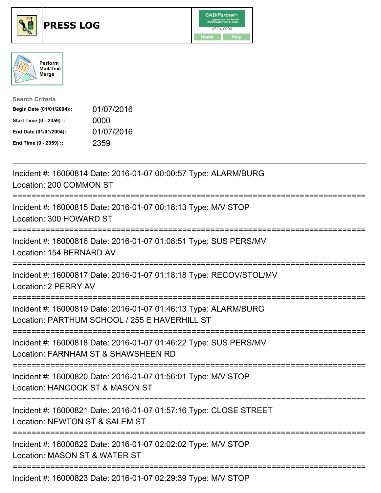





| <b>Search Criteria</b>    |            |
|---------------------------|------------|
| Begin Date (01/01/2004):: | 01/07/2016 |
| Start Time (0 - 2359) ::  | 0000       |
| End Date (01/01/2004)::   | 01/07/2016 |
| End Time (0 - 2359) ::    | 2359       |

| Incident #: 16000814 Date: 2016-01-07 00:00:57 Type: ALARM/BURG<br>Location: 200 COMMON ST                                                      |
|-------------------------------------------------------------------------------------------------------------------------------------------------|
| Incident #: 16000815 Date: 2016-01-07 00:18:13 Type: M/V STOP<br>Location: 300 HOWARD ST                                                        |
| Incident #: 16000816 Date: 2016-01-07 01:08:51 Type: SUS PERS/MV<br>Location: 154 BERNARD AV                                                    |
| Incident #: 16000817 Date: 2016-01-07 01:18:18 Type: RECOV/STOL/MV<br>Location: 2 PERRY AV<br>:===============                                  |
| Incident #: 16000819 Date: 2016-01-07 01:46:13 Type: ALARM/BURG<br>Location: PARTHUM SCHOOL / 255 E HAVERHILL ST                                |
| Incident #: 16000818 Date: 2016-01-07 01:46:22 Type: SUS PERS/MV<br>Location: FARNHAM ST & SHAWSHEEN RD<br>;=================================== |
| Incident #: 16000820 Date: 2016-01-07 01:56:01 Type: M/V STOP<br>Location: HANCOCK ST & MASON ST                                                |
| Incident #: 16000821 Date: 2016-01-07 01:57:16 Type: CLOSE STREET<br>Location: NEWTON ST & SALEM ST                                             |
| Incident #: 16000822 Date: 2016-01-07 02:02:02 Type: M/V STOP<br>Location: MASON ST & WATER ST                                                  |
|                                                                                                                                                 |

Incident #: 16000823 Date: 2016-01-07 02:29:39 Type: M/V STOP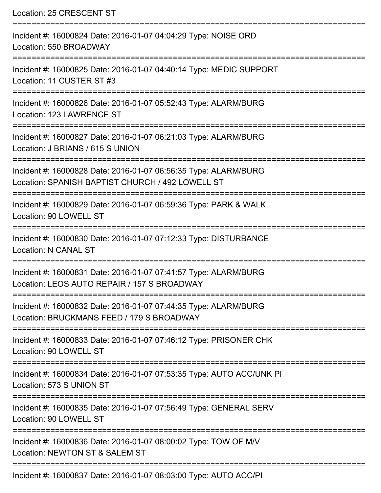Location: 25 CRESCENT ST =========================================================================== Incident #: 16000824 Date: 2016-01-07 04:04:29 Type: NOISE ORD Location: 550 BROADWAY =========================================================================== Incident #: 16000825 Date: 2016-01-07 04:40:14 Type: MEDIC SUPPORT Location: 11 CUSTER ST #3 =========================================================================== Incident #: 16000826 Date: 2016-01-07 05:52:43 Type: ALARM/BURG Location: 123 LAWRENCE ST =========================================================================== Incident #: 16000827 Date: 2016-01-07 06:21:03 Type: ALARM/BURG Location: J BRIANS / 615 S UNION =============================== Incident #: 16000828 Date: 2016-01-07 06:56:35 Type: ALARM/BURG Location: SPANISH BAPTIST CHURCH / 492 LOWELL ST =========================================================================== Incident #: 16000829 Date: 2016-01-07 06:59:36 Type: PARK & WALK Location: 90 LOWELL ST =========================================================================== Incident #: 16000830 Date: 2016-01-07 07:12:33 Type: DISTURBANCE Location: N CANAL ST =========================================================================== Incident #: 16000831 Date: 2016-01-07 07:41:57 Type: ALARM/BURG Location: LEOS AUTO REPAIR / 157 S BROADWAY =========================================================================== Incident #: 16000832 Date: 2016-01-07 07:44:35 Type: ALARM/BURG Location: BRUCKMANS FEED / 179 S BROADWAY =========================================================================== Incident #: 16000833 Date: 2016-01-07 07:46:12 Type: PRISONER CHK Location: 90 LOWELL ST =========================================================================== Incident #: 16000834 Date: 2016-01-07 07:53:35 Type: AUTO ACC/UNK PI Location: 573 S UNION ST =========================================================================== Incident #: 16000835 Date: 2016-01-07 07:56:49 Type: GENERAL SERV Location: 90 LOWELL ST =========================================================================== Incident #: 16000836 Date: 2016-01-07 08:00:02 Type: TOW OF M/V Location: NEWTON ST & SALEM ST =========================================================================== Incident #: 16000837 Date: 2016-01-07 08:03:00 Type: AUTO ACC/PI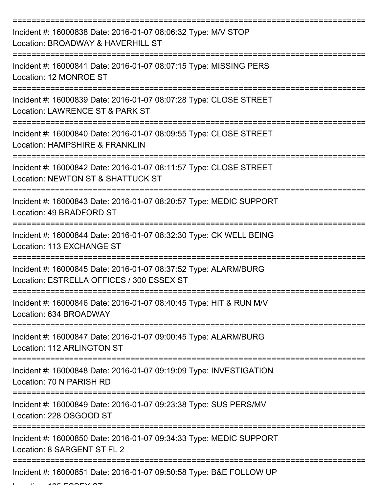| Incident #: 16000838 Date: 2016-01-07 08:06:32 Type: M/V STOP<br>Location: BROADWAY & HAVERHILL ST           |
|--------------------------------------------------------------------------------------------------------------|
| Incident #: 16000841 Date: 2016-01-07 08:07:15 Type: MISSING PERS<br>Location: 12 MONROE ST                  |
| Incident #: 16000839 Date: 2016-01-07 08:07:28 Type: CLOSE STREET<br>Location: LAWRENCE ST & PARK ST         |
| Incident #: 16000840 Date: 2016-01-07 08:09:55 Type: CLOSE STREET<br>Location: HAMPSHIRE & FRANKLIN          |
| Incident #: 16000842 Date: 2016-01-07 08:11:57 Type: CLOSE STREET<br>Location: NEWTON ST & SHATTUCK ST       |
| Incident #: 16000843 Date: 2016-01-07 08:20:57 Type: MEDIC SUPPORT<br>Location: 49 BRADFORD ST               |
| Incident #: 16000844 Date: 2016-01-07 08:32:30 Type: CK WELL BEING<br>Location: 113 EXCHANGE ST              |
| Incident #: 16000845 Date: 2016-01-07 08:37:52 Type: ALARM/BURG<br>Location: ESTRELLA OFFICES / 300 ESSEX ST |
| Incident #: 16000846 Date: 2016-01-07 08:40:45 Type: HIT & RUN M/V<br>Location: 634 BROADWAY                 |
| Incident #: 16000847 Date: 2016-01-07 09:00:45 Type: ALARM/BURG<br>Location: 112 ARLINGTON ST                |
| Incident #: 16000848 Date: 2016-01-07 09:19:09 Type: INVESTIGATION<br>Location: 70 N PARISH RD               |
| Incident #: 16000849 Date: 2016-01-07 09:23:38 Type: SUS PERS/MV<br>Location: 228 OSGOOD ST                  |
| Incident #: 16000850 Date: 2016-01-07 09:34:33 Type: MEDIC SUPPORT<br>Location: 8 SARGENT ST FL 2            |
| Incident #: 16000851 Date: 2016-01-07 09:50:58 Type: B&E FOLLOW UP                                           |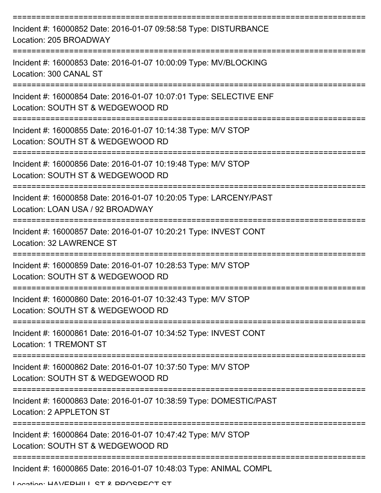| Incident #: 16000852 Date: 2016-01-07 09:58:58 Type: DISTURBANCE<br>Location: 205 BROADWAY                                 |
|----------------------------------------------------------------------------------------------------------------------------|
| Incident #: 16000853 Date: 2016-01-07 10:00:09 Type: MV/BLOCKING<br>Location: 300 CANAL ST                                 |
| Incident #: 16000854 Date: 2016-01-07 10:07:01 Type: SELECTIVE ENF<br>Location: SOUTH ST & WEDGEWOOD RD                    |
| Incident #: 16000855 Date: 2016-01-07 10:14:38 Type: M/V STOP<br>Location: SOUTH ST & WEDGEWOOD RD                         |
| Incident #: 16000856 Date: 2016-01-07 10:19:48 Type: M/V STOP<br>Location: SOUTH ST & WEDGEWOOD RD                         |
| =================<br>Incident #: 16000858 Date: 2016-01-07 10:20:05 Type: LARCENY/PAST<br>Location: LOAN USA / 92 BROADWAY |
| Incident #: 16000857 Date: 2016-01-07 10:20:21 Type: INVEST CONT<br>Location: 32 LAWRENCE ST                               |
| Incident #: 16000859 Date: 2016-01-07 10:28:53 Type: M/V STOP<br>Location: SOUTH ST & WEDGEWOOD RD                         |
| Incident #: 16000860 Date: 2016-01-07 10:32:43 Type: M/V STOP<br>Location: SOUTH ST & WEDGEWOOD RD                         |
| Incident #: 16000861 Date: 2016-01-07 10:34:52 Type: INVEST CONT<br><b>Location: 1 TREMONT ST</b>                          |
| Incident #: 16000862 Date: 2016-01-07 10:37:50 Type: M/V STOP<br>Location: SOUTH ST & WEDGEWOOD RD                         |
| Incident #: 16000863 Date: 2016-01-07 10:38:59 Type: DOMESTIC/PAST<br>Location: 2 APPLETON ST                              |
| Incident #: 16000864 Date: 2016-01-07 10:47:42 Type: M/V STOP<br>Location: SOUTH ST & WEDGEWOOD RD                         |
| Incident #: 16000865 Date: 2016-01-07 10:48:03 Type: ANIMAL COMPL                                                          |

Location: HAVEDHILL ST & DDOSDECT ST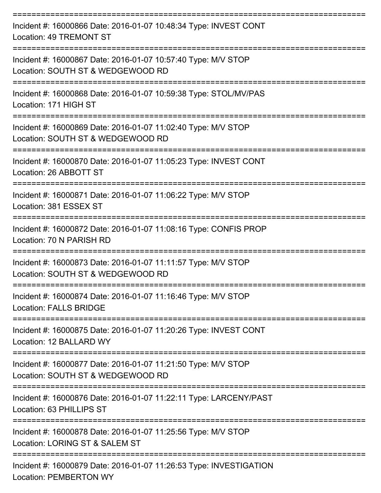| Incident #: 16000866 Date: 2016-01-07 10:48:34 Type: INVEST CONT<br>Location: 49 TREMONT ST         |
|-----------------------------------------------------------------------------------------------------|
| Incident #: 16000867 Date: 2016-01-07 10:57:40 Type: M/V STOP<br>Location: SOUTH ST & WEDGEWOOD RD  |
| Incident #: 16000868 Date: 2016-01-07 10:59:38 Type: STOL/MV/PAS<br>Location: 171 HIGH ST           |
| Incident #: 16000869 Date: 2016-01-07 11:02:40 Type: M/V STOP<br>Location: SOUTH ST & WEDGEWOOD RD  |
| Incident #: 16000870 Date: 2016-01-07 11:05:23 Type: INVEST CONT<br>Location: 26 ABBOTT ST          |
| Incident #: 16000871 Date: 2016-01-07 11:06:22 Type: M/V STOP<br>Location: 381 ESSEX ST             |
| Incident #: 16000872 Date: 2016-01-07 11:08:16 Type: CONFIS PROP<br>Location: 70 N PARISH RD        |
| Incident #: 16000873 Date: 2016-01-07 11:11:57 Type: M/V STOP<br>Location: SOUTH ST & WEDGEWOOD RD  |
| Incident #: 16000874 Date: 2016-01-07 11:16:46 Type: M/V STOP<br><b>Location: FALLS BRIDGE</b>      |
| Incident #: 16000875 Date: 2016-01-07 11:20:26 Type: INVEST CONT<br>Location: 12 BALLARD WY         |
| Incident #: 16000877 Date: 2016-01-07 11:21:50 Type: M/V STOP<br>Location: SOUTH ST & WEDGEWOOD RD  |
| Incident #: 16000876 Date: 2016-01-07 11:22:11 Type: LARCENY/PAST<br>Location: 63 PHILLIPS ST       |
| Incident #: 16000878 Date: 2016-01-07 11:25:56 Type: M/V STOP<br>Location: LORING ST & SALEM ST     |
| Incident #: 16000879 Date: 2016-01-07 11:26:53 Type: INVESTIGATION<br><b>Location: PEMBERTON WY</b> |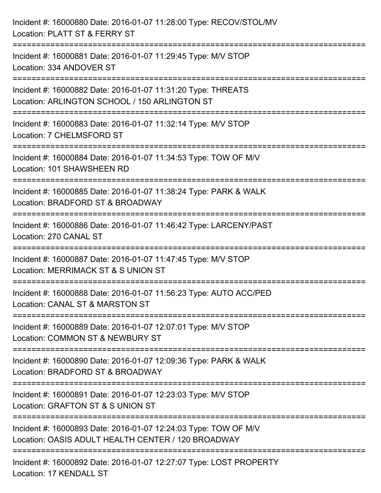| Incident #: 16000880 Date: 2016-01-07 11:28:00 Type: RECOV/STOL/MV<br>Location: PLATT ST & FERRY ST                                                |
|----------------------------------------------------------------------------------------------------------------------------------------------------|
| ;==================================<br>Incident #: 16000881 Date: 2016-01-07 11:29:45 Type: M/V STOP<br>Location: 334 ANDOVER ST                   |
| Incident #: 16000882 Date: 2016-01-07 11:31:20 Type: THREATS<br>Location: ARLINGTON SCHOOL / 150 ARLINGTON ST                                      |
| ==========================<br>Incident #: 16000883 Date: 2016-01-07 11:32:14 Type: M/V STOP<br>Location: 7 CHELMSFORD ST<br>---------------------- |
| Incident #: 16000884 Date: 2016-01-07 11:34:53 Type: TOW OF M/V<br>Location: 101 SHAWSHEEN RD                                                      |
| Incident #: 16000885 Date: 2016-01-07 11:38:24 Type: PARK & WALK<br>Location: BRADFORD ST & BROADWAY                                               |
| :======================<br>Incident #: 16000886 Date: 2016-01-07 11:46:42 Type: LARCENY/PAST<br>Location: 270 CANAL ST                             |
| Incident #: 16000887 Date: 2016-01-07 11:47:45 Type: M/V STOP<br>Location: MERRIMACK ST & S UNION ST                                               |
| Incident #: 16000888 Date: 2016-01-07 11:56:23 Type: AUTO ACC/PED<br>Location: CANAL ST & MARSTON ST                                               |
| Incident #: 16000889 Date: 2016-01-07 12:07:01 Type: M/V STOP<br>Location: COMMON ST & NEWBURY ST                                                  |
| Incident #: 16000890 Date: 2016-01-07 12:09:36 Type: PARK & WALK<br>Location: BRADFORD ST & BROADWAY                                               |
| Incident #: 16000891 Date: 2016-01-07 12:23:03 Type: M/V STOP<br>Location: GRAFTON ST & S UNION ST                                                 |
| Incident #: 16000893 Date: 2016-01-07 12:24:03 Type: TOW OF M/V<br>Location: OASIS ADULT HEALTH CENTER / 120 BROADWAY                              |
| Incident #: 16000892 Date: 2016-01-07 12:27:07 Type: LOST PROPERTY<br>Location: 17 KENDALL ST                                                      |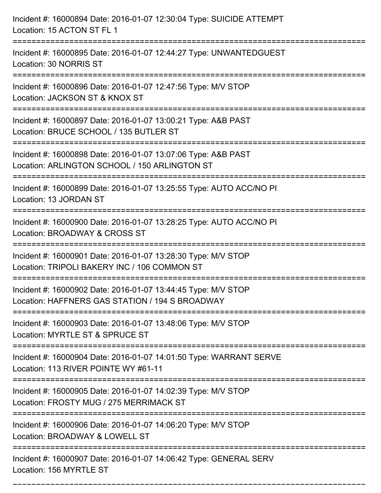| Incident #: 16000894 Date: 2016-01-07 12:30:04 Type: SUICIDE ATTEMPT<br>Location: 15 ACTON ST FL 1                         |
|----------------------------------------------------------------------------------------------------------------------------|
| Incident #: 16000895 Date: 2016-01-07 12:44:27 Type: UNWANTEDGUEST<br>Location: 30 NORRIS ST                               |
| Incident #: 16000896 Date: 2016-01-07 12:47:56 Type: M/V STOP<br>Location: JACKSON ST & KNOX ST<br>:====================== |
| Incident #: 16000897 Date: 2016-01-07 13:00:21 Type: A&B PAST<br>Location: BRUCE SCHOOL / 135 BUTLER ST                    |
| Incident #: 16000898 Date: 2016-01-07 13:07:06 Type: A&B PAST<br>Location: ARLINGTON SCHOOL / 150 ARLINGTON ST             |
| Incident #: 16000899 Date: 2016-01-07 13:25:55 Type: AUTO ACC/NO PI<br>Location: 13 JORDAN ST                              |
| Incident #: 16000900 Date: 2016-01-07 13:28:25 Type: AUTO ACC/NO PI<br>Location: BROADWAY & CROSS ST                       |
| Incident #: 16000901 Date: 2016-01-07 13:28:30 Type: M/V STOP<br>Location: TRIPOLI BAKERY INC / 106 COMMON ST              |
| Incident #: 16000902 Date: 2016-01-07 13:44:45 Type: M/V STOP<br>Location: HAFFNERS GAS STATION / 194 S BROADWAY           |
| Incident #: 16000903 Date: 2016-01-07 13:48:06 Type: M/V STOP<br>Location: MYRTLE ST & SPRUCE ST                           |
| Incident #: 16000904 Date: 2016-01-07 14:01:50 Type: WARRANT SERVE<br>Location: 113 RIVER POINTE WY #61-11                 |
| Incident #: 16000905 Date: 2016-01-07 14:02:39 Type: M/V STOP<br>Location: FROSTY MUG / 275 MERRIMACK ST                   |
| Incident #: 16000906 Date: 2016-01-07 14:06:20 Type: M/V STOP<br>Location: BROADWAY & LOWELL ST                            |
| Incident #: 16000907 Date: 2016-01-07 14:06:42 Type: GENERAL SERV<br>Location: 156 MYRTLE ST                               |

===========================================================================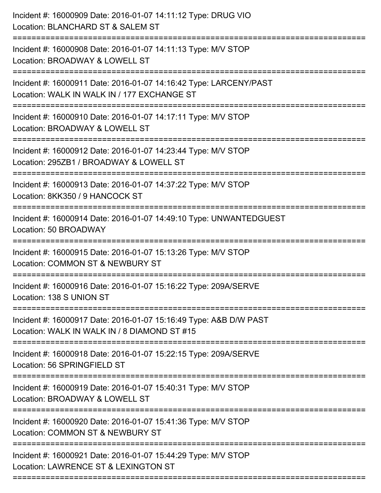| Incident #: 16000909 Date: 2016-01-07 14:11:12 Type: DRUG VIO<br>Location: BLANCHARD ST & SALEM ST                |
|-------------------------------------------------------------------------------------------------------------------|
| Incident #: 16000908 Date: 2016-01-07 14:11:13 Type: M/V STOP<br>Location: BROADWAY & LOWELL ST                   |
| Incident #: 16000911 Date: 2016-01-07 14:16:42 Type: LARCENY/PAST<br>Location: WALK IN WALK IN / 177 EXCHANGE ST  |
| Incident #: 16000910 Date: 2016-01-07 14:17:11 Type: M/V STOP<br>Location: BROADWAY & LOWELL ST                   |
| Incident #: 16000912 Date: 2016-01-07 14:23:44 Type: M/V STOP<br>Location: 295ZB1 / BROADWAY & LOWELL ST          |
| Incident #: 16000913 Date: 2016-01-07 14:37:22 Type: M/V STOP<br>Location: 8KK350 / 9 HANCOCK ST                  |
| Incident #: 16000914 Date: 2016-01-07 14:49:10 Type: UNWANTEDGUEST<br>Location: 50 BROADWAY                       |
| Incident #: 16000915 Date: 2016-01-07 15:13:26 Type: M/V STOP<br>Location: COMMON ST & NEWBURY ST                 |
| Incident #: 16000916 Date: 2016-01-07 15:16:22 Type: 209A/SERVE<br>Location: 138 S UNION ST                       |
| Incident #: 16000917 Date: 2016-01-07 15:16:49 Type: A&B D/W PAST<br>Location: WALK IN WALK IN / 8 DIAMOND ST #15 |
| Incident #: 16000918 Date: 2016-01-07 15:22:15 Type: 209A/SERVE<br>Location: 56 SPRINGFIELD ST                    |
| Incident #: 16000919 Date: 2016-01-07 15:40:31 Type: M/V STOP<br>Location: BROADWAY & LOWELL ST                   |
| Incident #: 16000920 Date: 2016-01-07 15:41:36 Type: M/V STOP<br>Location: COMMON ST & NEWBURY ST                 |
| Incident #: 16000921 Date: 2016-01-07 15:44:29 Type: M/V STOP<br>Location: LAWRENCE ST & LEXINGTON ST             |
|                                                                                                                   |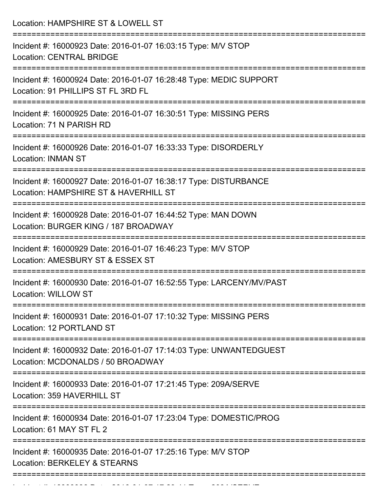Location: HAMPSHIRE ST & LOWELL ST =========================================================================== Incident #: 16000923 Date: 2016-01-07 16:03:15 Type: M/V STOP Location: CENTRAL BRIDGE =========================================================================== Incident #: 16000924 Date: 2016-01-07 16:28:48 Type: MEDIC SUPPORT Location: 91 PHILLIPS ST FL 3RD FL =========================================================================== Incident #: 16000925 Date: 2016-01-07 16:30:51 Type: MISSING PERS Location: 71 N PARISH RD =========================================================================== Incident #: 16000926 Date: 2016-01-07 16:33:33 Type: DISORDERLY Location: INMAN ST =========================================================================== Incident #: 16000927 Date: 2016-01-07 16:38:17 Type: DISTURBANCE Location: HAMPSHIRE ST & HAVERHILL ST =========================================================================== Incident #: 16000928 Date: 2016-01-07 16:44:52 Type: MAN DOWN Location: BURGER KING / 187 BROADWAY =========================================================================== Incident #: 16000929 Date: 2016-01-07 16:46:23 Type: M/V STOP Location: AMESBURY ST & ESSEX ST =========================================================================== Incident #: 16000930 Date: 2016-01-07 16:52:55 Type: LARCENY/MV/PAST Location: WILLOW ST =========================================================================== Incident #: 16000931 Date: 2016-01-07 17:10:32 Type: MISSING PERS Location: 12 PORTLAND ST =========================================================================== Incident #: 16000932 Date: 2016-01-07 17:14:03 Type: UNWANTEDGUEST Location: MCDONALDS / 50 BROADWAY =========================================================================== Incident #: 16000933 Date: 2016-01-07 17:21:45 Type: 209A/SERVE Location: 359 HAVERHILL ST =========================================================================== Incident #: 16000934 Date: 2016-01-07 17:23:04 Type: DOMESTIC/PROG Location: 61 MAY ST FL 2 =========================================================================== Incident #: 16000935 Date: 2016-01-07 17:25:16 Type: M/V STOP Location: BERKELEY & STEARNS ===========================================================================

Incident #: 16000936 Date: 2016 01 07 17:29:41 Type: 209A/SERVE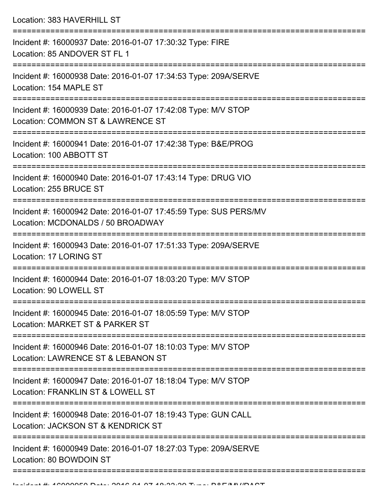Location: 383 HAVERHILL ST

| Incident #: 16000937 Date: 2016-01-07 17:30:32 Type: FIRE<br>Location: 85 ANDOVER ST FL 1                                                    |
|----------------------------------------------------------------------------------------------------------------------------------------------|
| Incident #: 16000938 Date: 2016-01-07 17:34:53 Type: 209A/SERVE<br>Location: 154 MAPLE ST                                                    |
| Incident #: 16000939 Date: 2016-01-07 17:42:08 Type: M/V STOP<br>Location: COMMON ST & LAWRENCE ST                                           |
| Incident #: 16000941 Date: 2016-01-07 17:42:38 Type: B&E/PROG<br>Location: 100 ABBOTT ST                                                     |
| Incident #: 16000940 Date: 2016-01-07 17:43:14 Type: DRUG VIO<br>Location: 255 BRUCE ST                                                      |
| Incident #: 16000942 Date: 2016-01-07 17:45:59 Type: SUS PERS/MV<br>Location: MCDONALDS / 50 BROADWAY                                        |
| Incident #: 16000943 Date: 2016-01-07 17:51:33 Type: 209A/SERVE<br>Location: 17 LORING ST                                                    |
| Incident #: 16000944 Date: 2016-01-07 18:03:20 Type: M/V STOP<br>Location: 90 LOWELL ST                                                      |
| Incident #: 16000945 Date: 2016-01-07 18:05:59 Type: M/V STOP<br>Location: MARKET ST & PARKER ST                                             |
| Incident #: 16000946 Date: 2016-01-07 18:10:03 Type: M/V STOP<br>Location: LAWRENCE ST & LEBANON ST                                          |
| Incident #: 16000947 Date: 2016-01-07 18:18:04 Type: M/V STOP<br>Location: FRANKLIN ST & LOWELL ST                                           |
| -------------------------------------<br>Incident #: 16000948 Date: 2016-01-07 18:19:43 Type: GUN CALL<br>Location: JACKSON ST & KENDRICK ST |
| Incident #: 16000949 Date: 2016-01-07 18:27:03 Type: 209A/SERVE<br>Location: 80 BOWDOIN ST                                                   |
|                                                                                                                                              |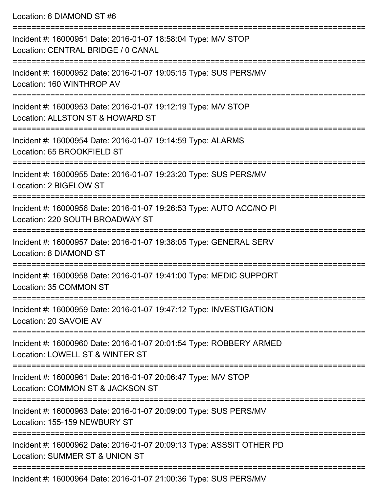Location: 6 DIAMOND ST #6

=========================================================================== Incident #: 16000951 Date: 2016-01-07 18:58:04 Type: M/V STOP Location: CENTRAL BRIDGE / 0 CANAL =========================================================================== Incident #: 16000952 Date: 2016-01-07 19:05:15 Type: SUS PERS/MV Location: 160 WINTHROP AV =========================================================================== Incident #: 16000953 Date: 2016-01-07 19:12:19 Type: M/V STOP Location: ALLSTON ST & HOWARD ST =========================================================================== Incident #: 16000954 Date: 2016-01-07 19:14:59 Type: ALARMS Location: 65 BROOKFIELD ST =========================================================================== Incident #: 16000955 Date: 2016-01-07 19:23:20 Type: SUS PERS/MV Location: 2 BIGELOW ST =========================================================================== Incident #: 16000956 Date: 2016-01-07 19:26:53 Type: AUTO ACC/NO PI Location: 220 SOUTH BROADWAY ST =========================================================================== Incident #: 16000957 Date: 2016-01-07 19:38:05 Type: GENERAL SERV Location: 8 DIAMOND ST =========================================================================== Incident #: 16000958 Date: 2016-01-07 19:41:00 Type: MEDIC SUPPORT Location: 35 COMMON ST =========================================================================== Incident #: 16000959 Date: 2016-01-07 19:47:12 Type: INVESTIGATION Location: 20 SAVOIE AV =========================================================================== Incident #: 16000960 Date: 2016-01-07 20:01:54 Type: ROBBERY ARMED Location: LOWELL ST & WINTER ST =========================================================================== Incident #: 16000961 Date: 2016-01-07 20:06:47 Type: M/V STOP Location: COMMON ST & JACKSON ST =========================================================================== Incident #: 16000963 Date: 2016-01-07 20:09:00 Type: SUS PERS/MV Location: 155-159 NEWBURY ST =========================================================================== Incident #: 16000962 Date: 2016-01-07 20:09:13 Type: ASSSIT OTHER PD Location: SUMMER ST & UNION ST ===========================================================================

Incident #: 16000964 Date: 2016-01-07 21:00:36 Type: SUS PERS/MV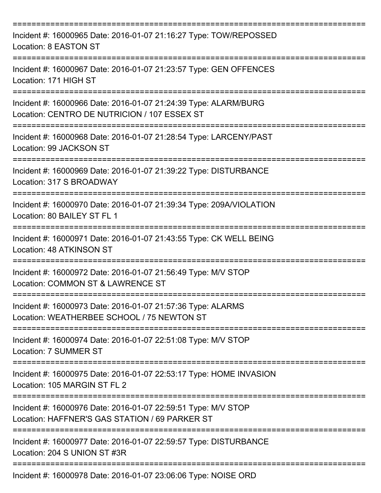| Incident #: 16000965 Date: 2016-01-07 21:16:27 Type: TOW/REPOSSED<br>Location: 8 EASTON ST                                       |
|----------------------------------------------------------------------------------------------------------------------------------|
| Incident #: 16000967 Date: 2016-01-07 21:23:57 Type: GEN OFFENCES<br>Location: 171 HIGH ST                                       |
| Incident #: 16000966 Date: 2016-01-07 21:24:39 Type: ALARM/BURG<br>Location: CENTRO DE NUTRICION / 107 ESSEX ST                  |
| Incident #: 16000968 Date: 2016-01-07 21:28:54 Type: LARCENY/PAST<br>Location: 99 JACKSON ST                                     |
| Incident #: 16000969 Date: 2016-01-07 21:39:22 Type: DISTURBANCE<br>Location: 317 S BROADWAY                                     |
| Incident #: 16000970 Date: 2016-01-07 21:39:34 Type: 209A/VIOLATION<br>Location: 80 BAILEY ST FL 1                               |
| Incident #: 16000971 Date: 2016-01-07 21:43:55 Type: CK WELL BEING<br>Location: 48 ATKINSON ST                                   |
| Incident #: 16000972 Date: 2016-01-07 21:56:49 Type: M/V STOP<br>Location: COMMON ST & LAWRENCE ST                               |
| ===================<br>Incident #: 16000973 Date: 2016-01-07 21:57:36 Type: ALARMS<br>Location: WEATHERBEE SCHOOL / 75 NEWTON ST |
| Incident #: 16000974 Date: 2016-01-07 22:51:08 Type: M/V STOP<br>Location: 7 SUMMER ST                                           |
| Incident #: 16000975 Date: 2016-01-07 22:53:17 Type: HOME INVASION<br>Location: 105 MARGIN ST FL 2                               |
| Incident #: 16000976 Date: 2016-01-07 22:59:51 Type: M/V STOP<br>Location: HAFFNER'S GAS STATION / 69 PARKER ST                  |
| Incident #: 16000977 Date: 2016-01-07 22:59:57 Type: DISTURBANCE<br>Location: 204 S UNION ST #3R                                 |
| Incident #: 16000978 Date: 2016-01-07 23:06:06 Type: NOISE ORD                                                                   |